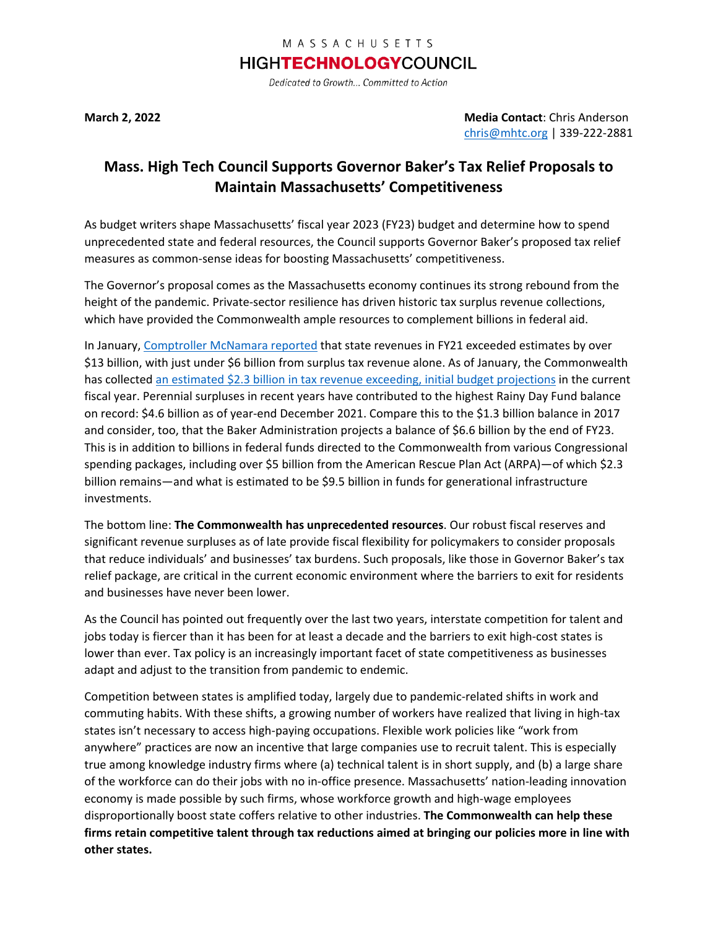## MASSACHUSETTS

## **HIGHTECHNOLOGYCOUNCIL**

Dedicated to Growth... Committed to Action

**March 2, 2022 Media Contact**: Chris Anderson [chris@mhtc.org](mailto:chris@mhtc.org) | 339-222-2881

## **Mass. High Tech Council Supports Governor Baker's Tax Relief Proposals to Maintain Massachusetts' Competitiveness**

As budget writers shape Massachusetts' fiscal year 2023 (FY23) budget and determine how to spend unprecedented state and federal resources, the Council supports Governor Baker's proposed tax relief measures as common-sense ideas for boosting Massachusetts' competitiveness.

The Governor's proposal comes as the Massachusetts economy continues its strong rebound from the height of the pandemic. Private-sector resilience has driven historic tax surplus revenue collections, which have provided the Commonwealth ample resources to complement billions in federal aid.

In January[, Comptroller McNamara reported](https://www.mhtc.org/wp-content/uploads/2022/03/01-03-FY2021-estimatesversusbudget-State-House-News-Service.pdf) that state revenues in FY21 exceeded estimates by over \$13 billion, with just under \$6 billion from surplus tax revenue alone. As of January, the Commonwealth has collected [an estimated \\$2.3 billion in tax revenue exceeding,](https://www.masstaxpayers.org/sites/default/files/publications/2022-02/MTF%20FY%202022%20Supplemental%20Budget%20Brief%20FINAL.pdf) initial budget projections in the current fiscal year. Perennial surpluses in recent years have contributed to the highest Rainy Day Fund balance on record: \$4.6 billion as of year-end December 2021. Compare this to the \$1.3 billion balance in 2017 and consider, too, that the Baker Administration projects a balance of \$6.6 billion by the end of FY23. This is in addition to billions in federal funds directed to the Commonwealth from various Congressional spending packages, including over \$5 billion from the American Rescue Plan Act (ARPA)—of which \$2.3 billion remains—and what is estimated to be \$9.5 billion in funds for generational infrastructure investments.

The bottom line: **The Commonwealth has unprecedented resources**. Our robust fiscal reserves and significant revenue surpluses as of late provide fiscal flexibility for policymakers to consider proposals that reduce individuals' and businesses' tax burdens. Such proposals, like those in Governor Baker's tax relief package, are critical in the current economic environment where the barriers to exit for residents and businesses have never been lower.

As the Council has pointed out frequently over the last two years, interstate competition for talent and jobs today is fiercer than it has been for at least a decade and the barriers to exit high-cost states is lower than ever. Tax policy is an increasingly important facet of state competitiveness as businesses adapt and adjust to the transition from pandemic to endemic.

Competition between states is amplified today, largely due to pandemic-related shifts in work and commuting habits. With these shifts, a growing number of workers have realized that living in high-tax states isn't necessary to access high-paying occupations. Flexible work policies like "work from anywhere" practices are now an incentive that large companies use to recruit talent. This is especially true among knowledge industry firms where (a) technical talent is in short supply, and (b) a large share of the workforce can do their jobs with no in-office presence. Massachusetts' nation-leading innovation economy is made possible by such firms, whose workforce growth and high-wage employees disproportionally boost state coffers relative to other industries. **The Commonwealth can help these firms retain competitive talent through tax reductions aimed at bringing our policies more in line with other states.**